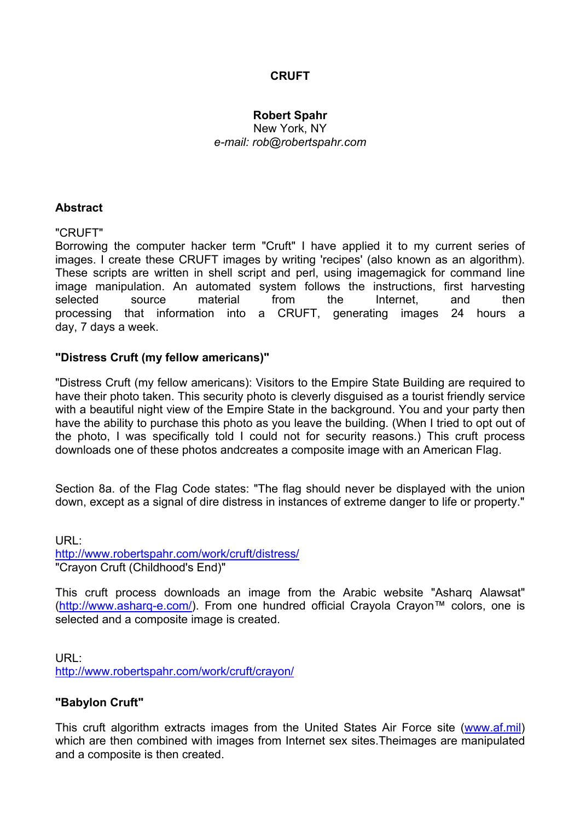# **CRUFT**

## **Robert Spahr**

New York, NY *e-mail: rob@robertspahr.com* 

#### **Abstract**

#### "CRUFT"

Borrowing the computer hacker term "Cruft" I have applied it to my current series of images. I create these CRUFT images by writing 'recipes' (also known as an algorithm). These scripts are written in shell script and perl, using imagemagick for command line image manipulation. An automated system follows the instructions, first harvesting selected source material from the Internet, and then processing that information into a CRUFT, generating images 24 hours a day, 7 days a week.

## **"Distress Cruft (my fellow americans)"**

"Distress Cruft (my fellow americans): Visitors to the Empire State Building are required to have their photo taken. This security photo is cleverly disguised as a tourist friendly service with a beautiful night view of the Empire State in the background. You and your party then have the ability to purchase this photo as you leave the building. (When I tried to opt out of the photo, I was specifically told I could not for security reasons.) This cruft process downloads one of these photos andcreates a composite image with an American Flag.

Section 8a. of the Flag Code states: "The flag should never be displayed with the union down, except as a signal of dire distress in instances of extreme danger to life or property."

URL: http://www.robertspahr.com/work/cruft/distress/ "Crayon Cruft (Childhood's End)"

This cruft process downloads an image from the Arabic website "Asharq Alawsat" (http://www.asharq-e.com/). From one hundred official Crayola Crayon™ colors, one is selected and a composite image is created.

URL: http://www.robertspahr.com/work/cruft/crayon/

## **"Babylon Cruft"**

This cruft algorithm extracts images from the United States Air Force site (www.af.mil) which are then combined with images from Internet sex sites.Theimages are manipulated and a composite is then created.